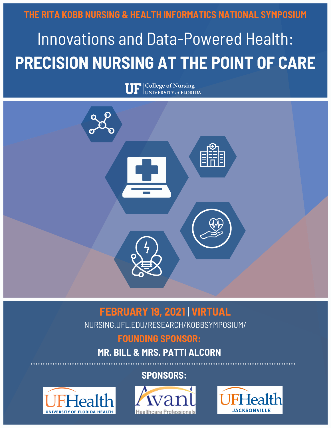**THE RITA KOBB NURSING & HEALTH INFORMATICS NATIONAL SYMPOSIUM**

# Innovations and Data-Powered Health: **PRECISION NURSING AT THE POINT OF CARE**

 $\mathbf{UF}|^{\text{College of Nursing}}_{\text{UNIVERSITY of FLORIDA}}$ 



# **FEBRUARY 19, 2021** | **VIRTUAL**

NURSING.UFL.EDU/RESEARCH/KOBBSYMPOSIUM/

# **FOUNDING SPONSOR:**

# **MR. BILL & MRS. PATTI ALCORN**





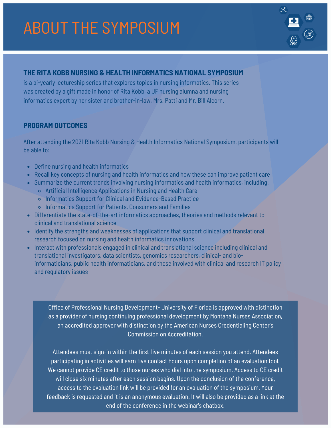# ABOUT THE SYMPOSIUM



### **THE RITA KOBB NURSING & HEALTH INFORMATICS NATIONAL SYMPOSIUM**

is a bi-yearly lectureship series that explores topics in nursing informatics. This series was created by a gift made in honor of Rita Kobb, a UF nursing alumna and nursing informatics expert by her sister and brother-in-law, Mrs. Patti and Mr. Bill Alcorn.

### **PROGRAM OUTCOMES**

After attending the 2021 Rita Kobb Nursing & Health Informatics National Symposium, participants will be able to:

- Define nursing and health informatics
- Recall key concepts of nursing and health informatics and how these can improve patient care
- Summarize the current trends involving nursing informatics and health informatics, including:
	- Artificial Intelligence Applications in Nursing and Health Care
	- o Informatics Support for Clinical and Evidence-Based Practice
	- Informatics Support for Patients, Consumers and Families
- Differentiate the state-of-the-art informatics approaches, theories and methods relevant to clinical and translational science
- Identify the strengths and weaknesses of applications that support clinical and translational research focused on nursing and health informatics innovations
- Interact with professionals engaged in clinical and translational science including clinical and translational investigators, data scientists, genomics researchers, clinical- and bioinformaticians, public health informaticians, and those involved with clinical and research IT policy and regulatory issues

Office of Professional Nursing Development- University of Florida is approved with distinction as a provider of nursing continuing professional development by Montana Nurses Association, an accredited approver with distinction by the American Nurses Credentialing Center's Commission on Accreditation.

Attendees must sign-in within the first five minutes of each session you attend. Attendees participating in activities will earn five contact hours upon completion of an evaluation tool. We cannot provide CE credit to those nurses who dial into the symposium. Access to CE credit will close six minutes after each session begins. Upon the conclusion of the conference, access to the evaluation link will be provided for an evaluation of the symposium. Your feedback is requested and it is an anonymous evaluation. It will also be provided as a link at the end of the conference in the webinar's chatbox.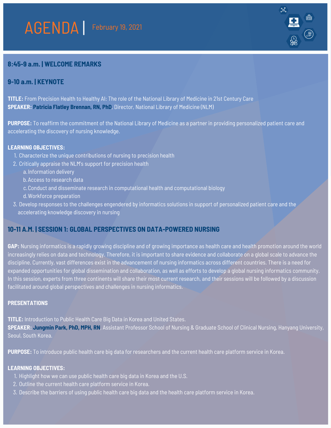$x^2$ 

### **8:45-9 a.m. | WELCOME REMARKS**

## **9-10 a.m. | KEYNOTE**

**TITLE:** From Precision Health to Healthy AI: The role of the National Library of Medicine in 21st Century Care **SPEAKER: Patricia Flatley Brennan, RN, PhD**, Director, National Library of Medicine (NLM)

**PURPOSE:** To reaffirm the commitment of the National Library of Medicine as a partner in providing personalized patient care and accelerating the discovery of nursing knowledge.

#### **LEARNING OBJECTIVES:**

- 1. Characterize the unique contributions of nursing to precision health
- 2. Critically appraise the NLM's support for precision health
	- a. Information delivery
	- b. Access to research data
	- Conduct and disseminate research in computational health and computational biology c.
	- d. Workforce preparation
- 3. Develop responses to the challenges engendered by informatics solutions in support of personalized patient care and the accelerating knowledge discovery in nursing

# **10-11 A.M. | SESSION 1: GLOBAL PERSPECTIVES ON DATA-POWERED NURSING**

**GAP:** Nursing informatics is a rapidly growing discipline and of growing importance as health care and health promotion around the world increasingly relies on data and technology. Therefore, it is important to share evidence and collaborate on a global scale to advance the discipline. Currently, vast differences exist in the advancement of nursing informatics across different countries. There is a need for expanded opportunities for global dissemination and collaboration, as well as efforts to develop a global nursing informatics community. In this session, experts from three continents will share their most current research, and their sessions will be followed by a discussion facilitated around global perspectives and challenges in nursing informatics.

### **PRESENTATIONS**

**TITLE:** Introduction to Public Health Care Big Data in Korea and United States.

**SPEAKER: Jungmin Park, PhD, MPH, RN**, Assistant Professor School of Nursing & Graduate School of Clinical Nursing, Hanyang University, Seoul, South Korea.

**PURPOSE:** To introduce public health care big data for researchers and the current health care platform service in Korea.

#### **LEARNING OBJECTIVES:**

- 1. Highlight how we can use public health care big data in Korea and the U.S.
- 2. Outline the current health care platform service in Korea.
- 3. Describe the barriers of using public health care big data and the health care platform service in Korea.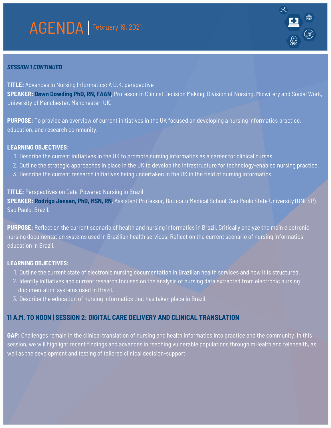# AGENDA | February 19, 2021



#### *SESSION 1 CONTINUED*

**TITLE:** Advances in Nursing Informatics: A U.K. perspective **SPEAKER: Dawn Dowding PhD, RN, FAAN**, Professor in Clinical Decision Making, Division of Nursing, Midwifery and Social Work, University of Manchester, Manchester, UK.

**PURPOSE:** To provide an overview of current initiatives in the UK focused on developing a nursing informatics practice, education, and research community.

#### **LEARNING OBJECTIVES:**

- 1. Describe the current initiatives in the UK to promote nursing informatics as a career for clinical nurses.
- 2. Outline the strategic approaches in place in the UK to develop the infrastructure for technology-enabled nursing practice.
- 3. Describe the current research initiatives being undertaken in the UK in the field of nursing informatics.

#### **TITLE:** Perspectives on Data-Powered Nursing in Brazil

**SPEAKER: Rodrigo Jensen, PhD, MSN, RN**, Assistant Professor, Botucatu Medical School, Sao Paulo State University (UNESP), Sao Paulo, Brazil.

**PURPOSE:** Reflect on the current scenario of health and nursing informatics in Brazil. Critically analyze the main electronic nursing documentation systems used in Brazilian health services. Reflect on the current scenario of nursing informatics education in Brazil.

#### **LEARNING OBJECTIVES:**

- 1. Outline the current state of electronic nursing documentation in Brazilian health services and how it is structured.
- 2. Identify initiatives and current research focused on the analysis of nursing data extracted from electronic nursing documentation systems used in Brazil.
- 3. Describe the education of nursing informatics that has taken place in Brazil.

### **11 A.M. TO NOON | SESSION 2: DIGITAL CARE DELIVERY AND CLINICAL TRANSLATION**

**GAP:** Challenges remain in the clinical translation of nursing and health informatics into practice and the community. In this session, we will highlight recent findings and advances in reaching vulnerable populations through mHealth and telehealth, as well as the development and testing of tailored clinical decision-support.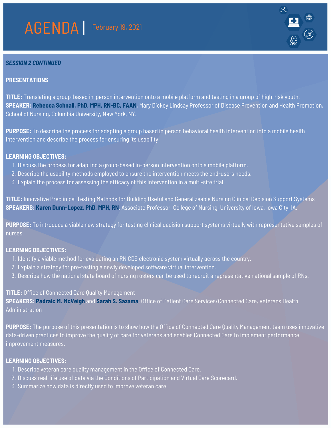# AGENDA | February 19, 2021

#### *SESSION 2 CONTINUED*

#### **PRESENTATIONS**

**TITLE:** Translating a group-based in-person intervention onto a mobile platform and testing in a group of high-risk youth. **SPEAKER: Rebecca Schnall, PhD, MPH, RN-BC, FAAN**, Mary Dickey Lindsay Professor of Disease Prevention and Health Promotion, School of Nursing, Columbia University, New York, NY.

 $22$ 

**PURPOSE:** To describe the process for adapting a group based in person behavioral health intervention into a mobile health intervention and describe the process for ensuring its usability.

#### **LEARNING OBJECTIVES:**

- 1. Discuss the process for adapting a group-based in-person intervention onto a mobile platform.
- 2. Describe the usability methods employed to ensure the intervention meets the end-users needs.
- Explain the process for assessing the efficacy of this intervention in a multi-site trial. 3.

**TITLE:** Innovative Preclinical Testing Methods for Building Useful and Generalizeable Nursing Clinical Decision Support Systems **SPEAKERS: Karen Dunn-Lopez, PhD, MPH, RN**, Associate Professor, College of Nursing, University of Iowa, Iowa City, IA.

**PURPOSE:** To introduce a viable new strategy for testing clinical decision support systems virtually with representative samples of nurses.

#### **LEARNING OBJECTIVES:**

- 1. Identify a viable method for evaluating an RN CDS electronic system virtually across the country.
- Explain a strategy for pre-testing a newly developed software virtual intervention. 2.
- 3. Describe how the national state board of nursing rosters can be used to recruit a representative national sample of RNs.

#### **TITLE:** Office of Connected Care Quality Management

**SPEAKERS: Padraic M. McVeigh** and **Sarah S. Sazama**, Office of Patient Care Services/Connected Care, Veterans Health Administration

**PURPOSE:** The purpose of this presentation is to show how the Office of Connected Care Quality Management team uses innovative data-driven practices to improve the quality of care for veterans and enables Connected Care to implement performance improvement measures.

#### **LEARNING OBJECTIVES:**

- 1. Describe veteran care quality management in the Office of Connected Care.
- 2. Discuss real-life use of data via the Conditions of Participation and Virtual Care Scorecard.
- Summarize how data is directly used to improve veteran care. 3.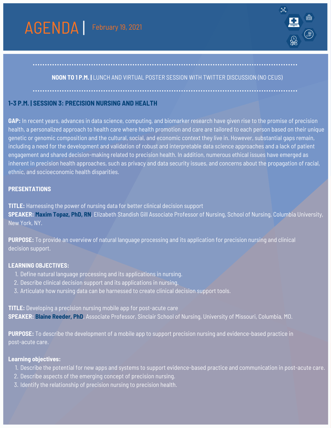



#### **NOON TO 1 P.M. |** LUNCH AND VIRTUAL POSTER SESSION WITH TWITTER DISCUSSION (NO CEUS)

#### **1-3 P.M. | SESSION 3: PRECISION NURSING AND HEALTH**

**GAP:** In recent years, advances in data science, computing, and biomarker research have given rise to the promise of precision health, a personalized approach to health care where health promotion and care are tailored to each person based on their unique genetic or genomic composition and the cultural, social, and economic context they live in. However, substantial gaps remain, including a need for the development and validation of robust and interpretable data science approaches and a lack of patient engagement and shared decision-making related to precision health. In addition, numerous ethical issues have emerged as inherent in precision health approaches, such as privacy and data security issues, and concerns about the propagation of racial, ethnic, and socioeconomic health disparities.

#### **PRESENTATIONS**

**TITLE:** Harnessing the power of nursing data for better clinical decision support **SPEAKER: Maxim Topaz, PhD, RN**, Elizabeth Standish Gill Associate Professor of Nursing, School of Nursing, Columbia University, New York, NY.

**PURPOSE:** To provide an overview of natural language processing and its application for precision nursing and clinical decision support.

#### **LEARNING OBJECTIVES:**

- 1. Define natural language processing and its applications in nursing.
- 2. Describe clinical decision support and its applications in nursing.
- 3. Articulate how nursing data can be harnessed to create clinical decision support tools.

**TITLE:** Developing a precision nursing mobile app for post-acute care **SPEAKER: Blaine Reeder, PhD**, Associate Professor, Sinclair School of Nursing, University of Missouri, Columbia, MO.

**PURPOSE:** To describe the development of a mobile app to support precision nursing and evidence-based practice in post-acute care.

#### **Learning objectives:**

- 1. Describe the potential for new apps and systems to support evidence-based practice and communication in post-acute care.
- 2. Describe aspects of the emerging concept of precision nursing.
- 3. Identify the relationship of precision nursing to precision health.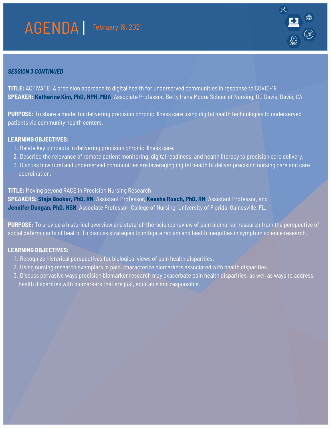AGENDA | February 19, 2021



#### *SESSION 3 CONTINUED*

**TITLE:** ACTIVATE: A precision approach to digital health for underserved communities in response to COVID-19 **SPEAKER: Katherine Kim, PhD, MPH, MBA**, Associate Professor, Betty Irene Moore School of Nursing, UC Davis, Davis, CA

**PURPOSE:** To share a model for delivering precision chronic illness care using digital health technologies to underserved patients via community health centers.

#### **LEARNING OBJECTIVES:**

- 1. Relate key concepts in delivering precision chronic illness care.
- 2. Describe the relevance of remote patient monitoring, digital readiness, and health literacy to precision care delivery.
- Discuss how rural and underserved communities are leveraging digital health to deliver precision nursing care and care 3. coordination.

**TITLE:** Moving beyond RACE in Precision Nursing Research

**SPEAKERS: Staja Booker, PhD, RN**, Assistant Professor, **Keesha Roach, PhD, RN**, Assistant Professor, and **Jennifer Dungan, PhD, MSN**, Associate Professor, College of Nursing, University of Florida, Gainesville, FL.

**PURPOSE:** To provide a historical overview and state-of-the-science review of pain biomarker research from the perspective of social determinants of health. To discuss strategies to mitigate racism and health inequities in symptom science research.

#### **LEARNING OBJECTIVES:**

- 1. Recognize historical perspectives for biological views of pain health disparities.
- 2. Using nursing research exemplars in pain, characterize biomarkers associated with health disparities.
- Discuss pervasive ways precision biomarker research may exacerbate pain health disparities, as well as ways to address 3.health disparities with biomarkers that are just, equitable and responsible.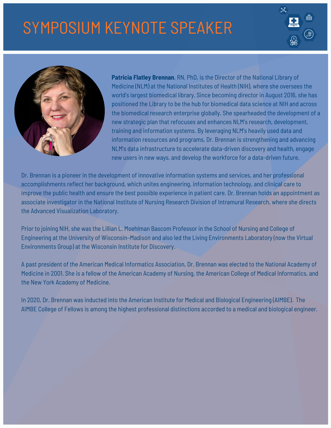# SYMPOSIUM KEYNOTE SPEAKER





**Patricia Flatley Brennan**, RN, PhD, is the Director of the National Library of Medicine (NLM) at the National Institutes of Health (NIH), where she oversees the world's largest biomedical library. Since becoming director in August 2016, she has positioned the Library to be the hub for biomedical data science at NIH and across the biomedical research enterprise globally. She spearheaded the development of a new strategic plan that refocuses and enhances NLM's research, development, training and information systems. By leveraging NLM's heavily used data and information resources and programs, Dr. Brennan is strengthening and advancing NLM's data infrastructure to accelerate data-driven discovery and health, engage new users in new ways, and develop the workforce for a data-driven future.

Dr. Brennan is a pioneer in the development of innovative information systems and services, and her professional accomplishments reflect her background, which unites engineering, information technology, and clinical care to improve the public health and ensure the best possible experience in patient care. Dr. Brennan holds an appointment as associate investigator in the National Institute of Nursing Research Division of Intramural Research, where she directs the Advanced Visualization Laboratory.

Prior to joining NIH, she was the Lillian L. Moehlman Bascom Professor in the School of Nursing and College of Engineering at the University of Wisconsin–Madison and also led the Living Environments Laboratory (now the Virtual Environments Group) at the Wisconsin Institute for Discovery.

A past president of the American Medical Informatics Association, Dr. Brennan was elected to the National Academy of Medicine in 2001. She is a fellow of the American Academy of Nursing, the American College of Medical Informatics, and the New York Academy of Medicine.

In 2020, Dr. Brennan was inducted into the American Institute for Medical and Biological Engineering (AIMBE). The AIMBE College of Fellows is among the highest professional distinctions accorded to a medical and biological engineer.